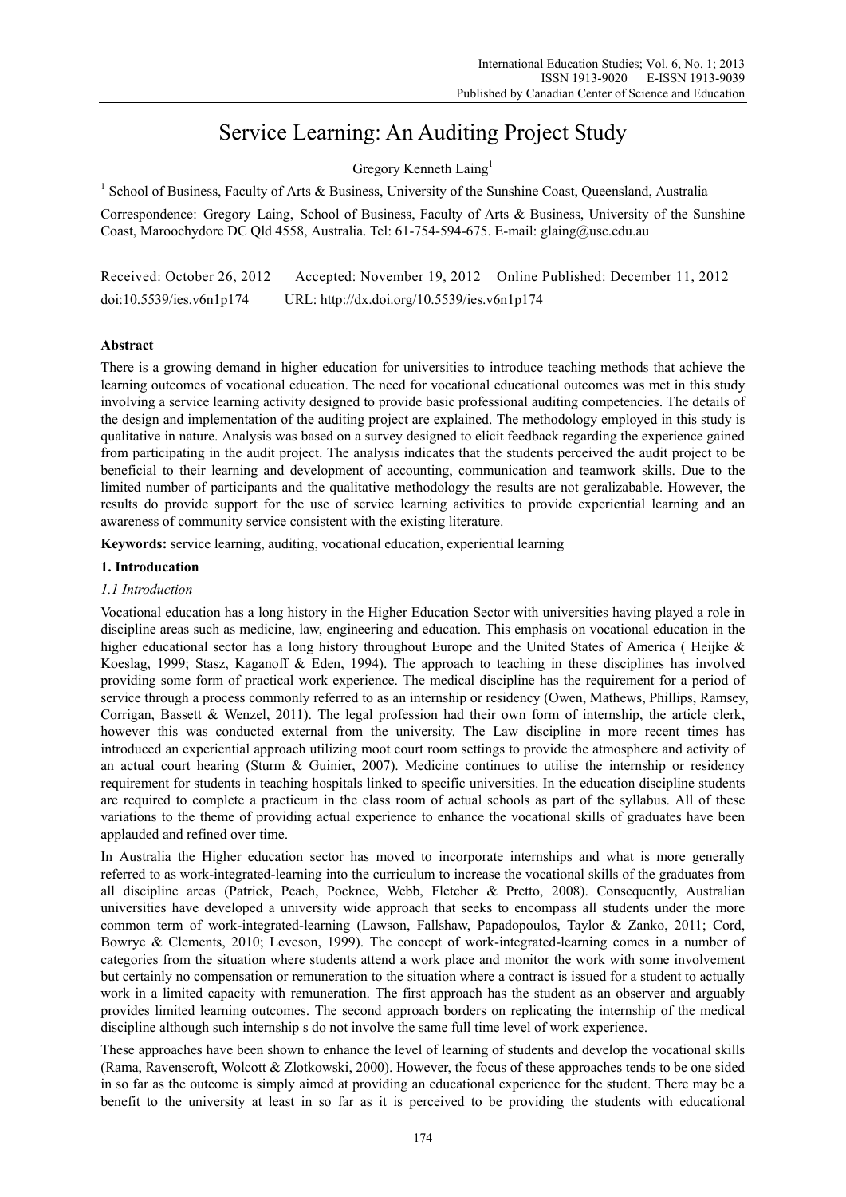# Service Learning: An Auditing Project Study

Gregory Kenneth Laing<sup>1</sup>

<sup>1</sup> School of Business, Faculty of Arts & Business, University of the Sunshine Coast, Queensland, Australia

Correspondence: Gregory Laing, School of Business, Faculty of Arts & Business, University of the Sunshine Coast, Maroochydore DC Qld 4558, Australia. Tel: 61-754-594-675. E-mail: glaing@usc.edu.au

Received: October 26, 2012 Accepted: November 19, 2012 Online Published: December 11, 2012 doi:10.5539/ies.v6n1p174 URL: http://dx.doi.org/10.5539/ies.v6n1p174

# **Abstract**

There is a growing demand in higher education for universities to introduce teaching methods that achieve the learning outcomes of vocational education. The need for vocational educational outcomes was met in this study involving a service learning activity designed to provide basic professional auditing competencies. The details of the design and implementation of the auditing project are explained. The methodology employed in this study is qualitative in nature. Analysis was based on a survey designed to elicit feedback regarding the experience gained from participating in the audit project. The analysis indicates that the students perceived the audit project to be beneficial to their learning and development of accounting, communication and teamwork skills. Due to the limited number of participants and the qualitative methodology the results are not geralizabable. However, the results do provide support for the use of service learning activities to provide experiential learning and an awareness of community service consistent with the existing literature.

**Keywords:** service learning, auditing, vocational education, experiential learning

# **1. Introducation**

### *1.1 Introduction*

Vocational education has a long history in the Higher Education Sector with universities having played a role in discipline areas such as medicine, law, engineering and education. This emphasis on vocational education in the higher educational sector has a long history throughout Europe and the United States of America (Heijke & Koeslag, 1999; Stasz, Kaganoff & Eden, 1994). The approach to teaching in these disciplines has involved providing some form of practical work experience. The medical discipline has the requirement for a period of service through a process commonly referred to as an internship or residency (Owen, Mathews, Phillips, Ramsey, Corrigan, Bassett & Wenzel, 2011). The legal profession had their own form of internship, the article clerk, however this was conducted external from the university. The Law discipline in more recent times has introduced an experiential approach utilizing moot court room settings to provide the atmosphere and activity of an actual court hearing (Sturm & Guinier, 2007). Medicine continues to utilise the internship or residency requirement for students in teaching hospitals linked to specific universities. In the education discipline students are required to complete a practicum in the class room of actual schools as part of the syllabus. All of these variations to the theme of providing actual experience to enhance the vocational skills of graduates have been applauded and refined over time.

In Australia the Higher education sector has moved to incorporate internships and what is more generally referred to as work-integrated-learning into the curriculum to increase the vocational skills of the graduates from all discipline areas (Patrick, Peach, Pocknee, Webb, Fletcher & Pretto, 2008). Consequently, Australian universities have developed a university wide approach that seeks to encompass all students under the more common term of work-integrated-learning (Lawson, Fallshaw, Papadopoulos, Taylor & Zanko, 2011; Cord, Bowrye & Clements, 2010; Leveson, 1999). The concept of work-integrated-learning comes in a number of categories from the situation where students attend a work place and monitor the work with some involvement but certainly no compensation or remuneration to the situation where a contract is issued for a student to actually work in a limited capacity with remuneration. The first approach has the student as an observer and arguably provides limited learning outcomes. The second approach borders on replicating the internship of the medical discipline although such internship s do not involve the same full time level of work experience.

These approaches have been shown to enhance the level of learning of students and develop the vocational skills (Rama, Ravenscroft, Wolcott & Zlotkowski, 2000). However, the focus of these approaches tends to be one sided in so far as the outcome is simply aimed at providing an educational experience for the student. There may be a benefit to the university at least in so far as it is perceived to be providing the students with educational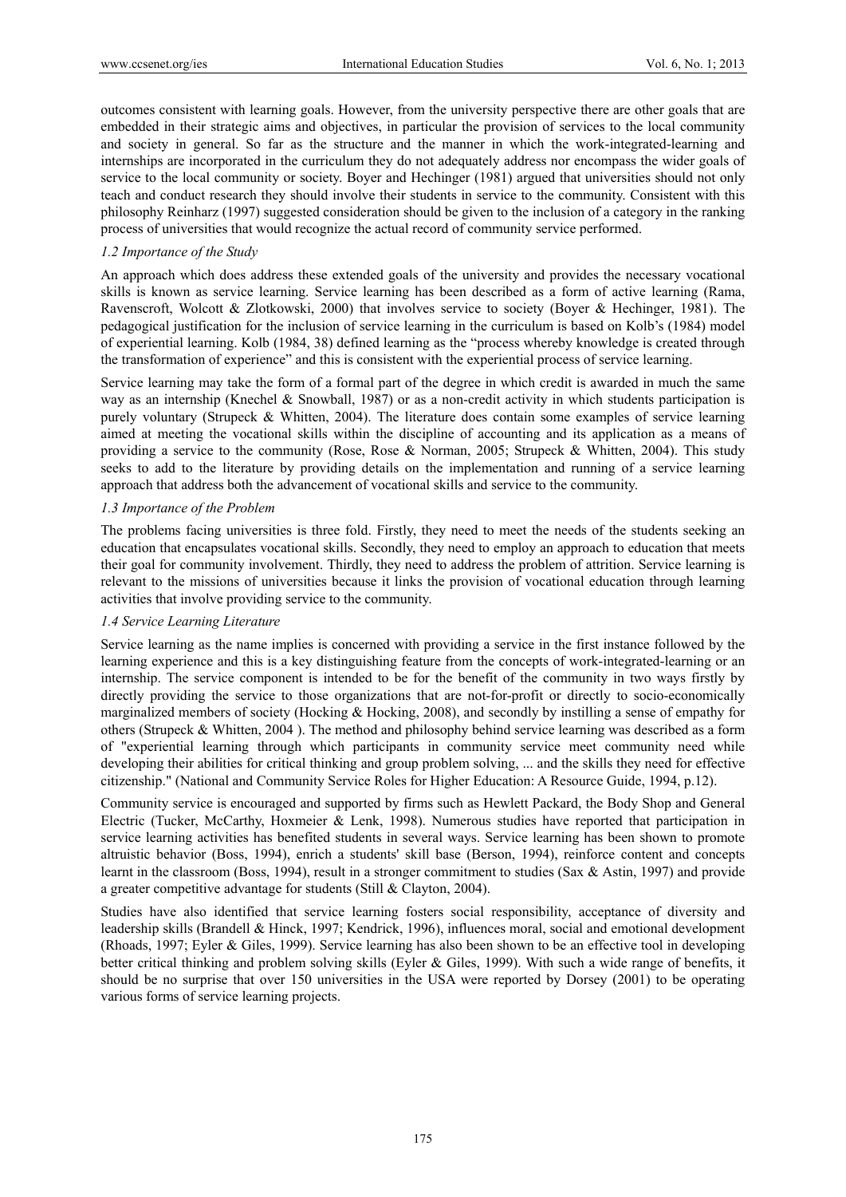outcomes consistent with learning goals. However, from the university perspective there are other goals that are embedded in their strategic aims and objectives, in particular the provision of services to the local community and society in general. So far as the structure and the manner in which the work-integrated-learning and internships are incorporated in the curriculum they do not adequately address nor encompass the wider goals of service to the local community or society. Boyer and Hechinger (1981) argued that universities should not only teach and conduct research they should involve their students in service to the community. Consistent with this philosophy Reinharz (1997) suggested consideration should be given to the inclusion of a category in the ranking process of universities that would recognize the actual record of community service performed.

# *1.2 Importance of the Study*

An approach which does address these extended goals of the university and provides the necessary vocational skills is known as service learning. Service learning has been described as a form of active learning (Rama, Ravenscroft, Wolcott & Zlotkowski, 2000) that involves service to society (Boyer & Hechinger, 1981). The pedagogical justification for the inclusion of service learning in the curriculum is based on Kolb's (1984) model of experiential learning. Kolb (1984, 38) defined learning as the "process whereby knowledge is created through the transformation of experience" and this is consistent with the experiential process of service learning.

Service learning may take the form of a formal part of the degree in which credit is awarded in much the same way as an internship (Knechel & Snowball, 1987) or as a non-credit activity in which students participation is purely voluntary (Strupeck & Whitten, 2004). The literature does contain some examples of service learning aimed at meeting the vocational skills within the discipline of accounting and its application as a means of providing a service to the community (Rose, Rose & Norman, 2005; Strupeck & Whitten, 2004). This study seeks to add to the literature by providing details on the implementation and running of a service learning approach that address both the advancement of vocational skills and service to the community.

# *1.3 Importance of the Problem*

The problems facing universities is three fold. Firstly, they need to meet the needs of the students seeking an education that encapsulates vocational skills. Secondly, they need to employ an approach to education that meets their goal for community involvement. Thirdly, they need to address the problem of attrition. Service learning is relevant to the missions of universities because it links the provision of vocational education through learning activities that involve providing service to the community.

# *1.4 Service Learning Literature*

Service learning as the name implies is concerned with providing a service in the first instance followed by the learning experience and this is a key distinguishing feature from the concepts of work-integrated-learning or an internship. The service component is intended to be for the benefit of the community in two ways firstly by directly providing the service to those organizations that are not-for-profit or directly to socio-economically marginalized members of society (Hocking & Hocking, 2008), and secondly by instilling a sense of empathy for others (Strupeck & Whitten, 2004 ). The method and philosophy behind service learning was described as a form of "experiential learning through which participants in community service meet community need while developing their abilities for critical thinking and group problem solving, ... and the skills they need for effective citizenship." (National and Community Service Roles for Higher Education: A Resource Guide, 1994, p.12).

Community service is encouraged and supported by firms such as Hewlett Packard, the Body Shop and General Electric (Tucker, McCarthy, Hoxmeier & Lenk, 1998). Numerous studies have reported that participation in service learning activities has benefited students in several ways. Service learning has been shown to promote altruistic behavior (Boss, 1994), enrich a students' skill base (Berson, 1994), reinforce content and concepts learnt in the classroom (Boss, 1994), result in a stronger commitment to studies (Sax & Astin, 1997) and provide a greater competitive advantage for students (Still & Clayton, 2004).

Studies have also identified that service learning fosters social responsibility, acceptance of diversity and leadership skills (Brandell & Hinck, 1997; Kendrick, 1996), influences moral, social and emotional development (Rhoads, 1997; Eyler & Giles, 1999). Service learning has also been shown to be an effective tool in developing better critical thinking and problem solving skills (Eyler & Giles, 1999). With such a wide range of benefits, it should be no surprise that over 150 universities in the USA were reported by Dorsey (2001) to be operating various forms of service learning projects.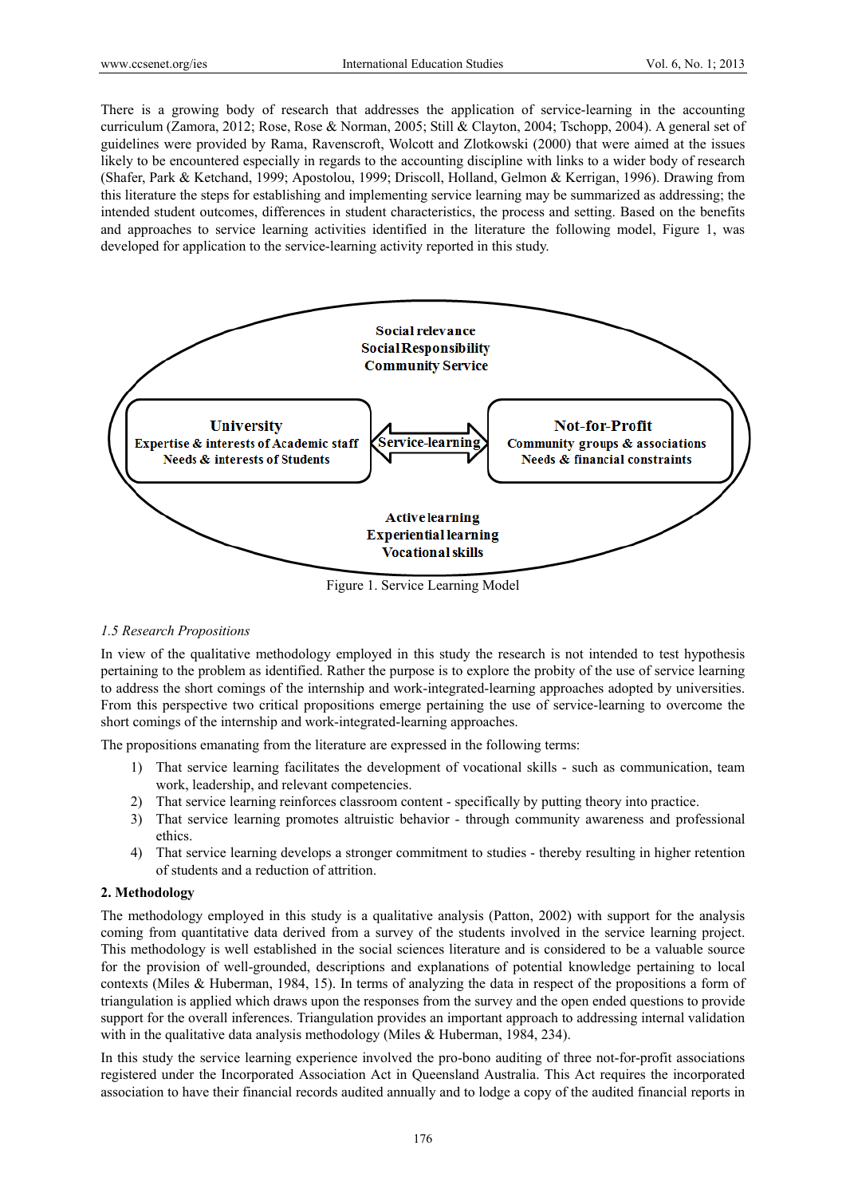There is a growing body of research that addresses the application of service-learning in the accounting curriculum (Zamora, 2012; Rose, Rose & Norman, 2005; Still & Clayton, 2004; Tschopp, 2004). A general set of guidelines were provided by Rama, Ravenscroft, Wolcott and Zlotkowski (2000) that were aimed at the issues likely to be encountered especially in regards to the accounting discipline with links to a wider body of research (Shafer, Park & Ketchand, 1999; Apostolou, 1999; Driscoll, Holland, Gelmon & Kerrigan, 1996). Drawing from this literature the steps for establishing and implementing service learning may be summarized as addressing; the intended student outcomes, differences in student characteristics, the process and setting. Based on the benefits and approaches to service learning activities identified in the literature the following model, Figure 1, was developed for application to the service-learning activity reported in this study.



Figure 1. Service Learning Model

# *1.5 Research Propositions*

In view of the qualitative methodology employed in this study the research is not intended to test hypothesis pertaining to the problem as identified. Rather the purpose is to explore the probity of the use of service learning to address the short comings of the internship and work-integrated-learning approaches adopted by universities. From this perspective two critical propositions emerge pertaining the use of service-learning to overcome the short comings of the internship and work-integrated-learning approaches.

The propositions emanating from the literature are expressed in the following terms:

- 1) That service learning facilitates the development of vocational skills such as communication, team work, leadership, and relevant competencies.
- 2) That service learning reinforces classroom content specifically by putting theory into practice.
- 3) That service learning promotes altruistic behavior through community awareness and professional ethics.
- 4) That service learning develops a stronger commitment to studies thereby resulting in higher retention of students and a reduction of attrition.

# **2. Methodology**

The methodology employed in this study is a qualitative analysis (Patton, 2002) with support for the analysis coming from quantitative data derived from a survey of the students involved in the service learning project. This methodology is well established in the social sciences literature and is considered to be a valuable source for the provision of well-grounded, descriptions and explanations of potential knowledge pertaining to local contexts (Miles & Huberman, 1984, 15). In terms of analyzing the data in respect of the propositions a form of triangulation is applied which draws upon the responses from the survey and the open ended questions to provide support for the overall inferences. Triangulation provides an important approach to addressing internal validation with in the qualitative data analysis methodology (Miles & Huberman, 1984, 234).

In this study the service learning experience involved the pro-bono auditing of three not-for-profit associations registered under the Incorporated Association Act in Queensland Australia. This Act requires the incorporated association to have their financial records audited annually and to lodge a copy of the audited financial reports in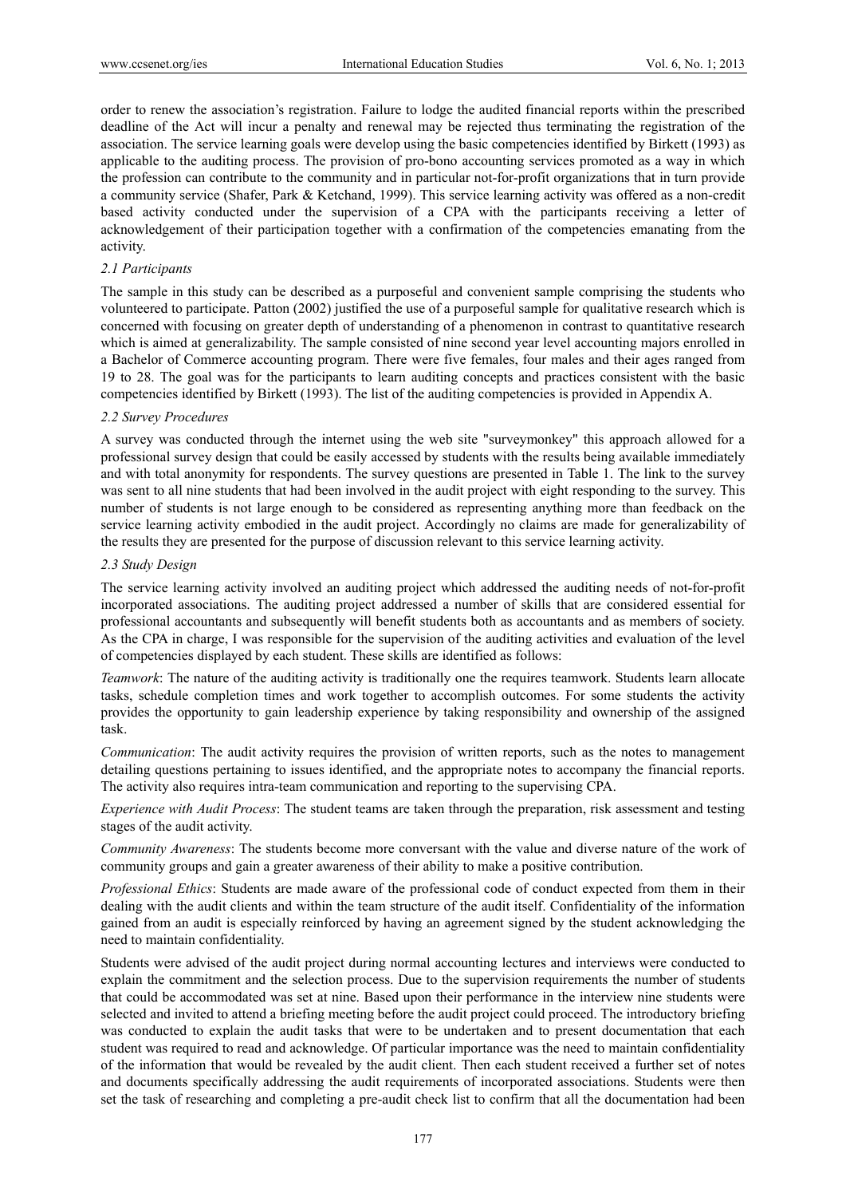order to renew the association's registration. Failure to lodge the audited financial reports within the prescribed deadline of the Act will incur a penalty and renewal may be rejected thus terminating the registration of the association. The service learning goals were develop using the basic competencies identified by Birkett (1993) as applicable to the auditing process. The provision of pro-bono accounting services promoted as a way in which the profession can contribute to the community and in particular not-for-profit organizations that in turn provide a community service (Shafer, Park & Ketchand, 1999). This service learning activity was offered as a non-credit based activity conducted under the supervision of a CPA with the participants receiving a letter of acknowledgement of their participation together with a confirmation of the competencies emanating from the activity.

# *2.1 Participants*

The sample in this study can be described as a purposeful and convenient sample comprising the students who volunteered to participate. Patton (2002) justified the use of a purposeful sample for qualitative research which is concerned with focusing on greater depth of understanding of a phenomenon in contrast to quantitative research which is aimed at generalizability. The sample consisted of nine second year level accounting majors enrolled in a Bachelor of Commerce accounting program. There were five females, four males and their ages ranged from 19 to 28. The goal was for the participants to learn auditing concepts and practices consistent with the basic competencies identified by Birkett (1993). The list of the auditing competencies is provided in Appendix A.

# *2.2 Survey Procedures*

A survey was conducted through the internet using the web site "surveymonkey" this approach allowed for a professional survey design that could be easily accessed by students with the results being available immediately and with total anonymity for respondents. The survey questions are presented in Table 1. The link to the survey was sent to all nine students that had been involved in the audit project with eight responding to the survey. This number of students is not large enough to be considered as representing anything more than feedback on the service learning activity embodied in the audit project. Accordingly no claims are made for generalizability of the results they are presented for the purpose of discussion relevant to this service learning activity.

# *2.3 Study Design*

The service learning activity involved an auditing project which addressed the auditing needs of not-for-profit incorporated associations. The auditing project addressed a number of skills that are considered essential for professional accountants and subsequently will benefit students both as accountants and as members of society. As the CPA in charge, I was responsible for the supervision of the auditing activities and evaluation of the level of competencies displayed by each student. These skills are identified as follows:

*Teamwork*: The nature of the auditing activity is traditionally one the requires teamwork. Students learn allocate tasks, schedule completion times and work together to accomplish outcomes. For some students the activity provides the opportunity to gain leadership experience by taking responsibility and ownership of the assigned task.

*Communication*: The audit activity requires the provision of written reports, such as the notes to management detailing questions pertaining to issues identified, and the appropriate notes to accompany the financial reports. The activity also requires intra-team communication and reporting to the supervising CPA.

*Experience with Audit Process*: The student teams are taken through the preparation, risk assessment and testing stages of the audit activity.

*Community Awareness*: The students become more conversant with the value and diverse nature of the work of community groups and gain a greater awareness of their ability to make a positive contribution.

*Professional Ethics*: Students are made aware of the professional code of conduct expected from them in their dealing with the audit clients and within the team structure of the audit itself. Confidentiality of the information gained from an audit is especially reinforced by having an agreement signed by the student acknowledging the need to maintain confidentiality.

Students were advised of the audit project during normal accounting lectures and interviews were conducted to explain the commitment and the selection process. Due to the supervision requirements the number of students that could be accommodated was set at nine. Based upon their performance in the interview nine students were selected and invited to attend a briefing meeting before the audit project could proceed. The introductory briefing was conducted to explain the audit tasks that were to be undertaken and to present documentation that each student was required to read and acknowledge. Of particular importance was the need to maintain confidentiality of the information that would be revealed by the audit client. Then each student received a further set of notes and documents specifically addressing the audit requirements of incorporated associations. Students were then set the task of researching and completing a pre-audit check list to confirm that all the documentation had been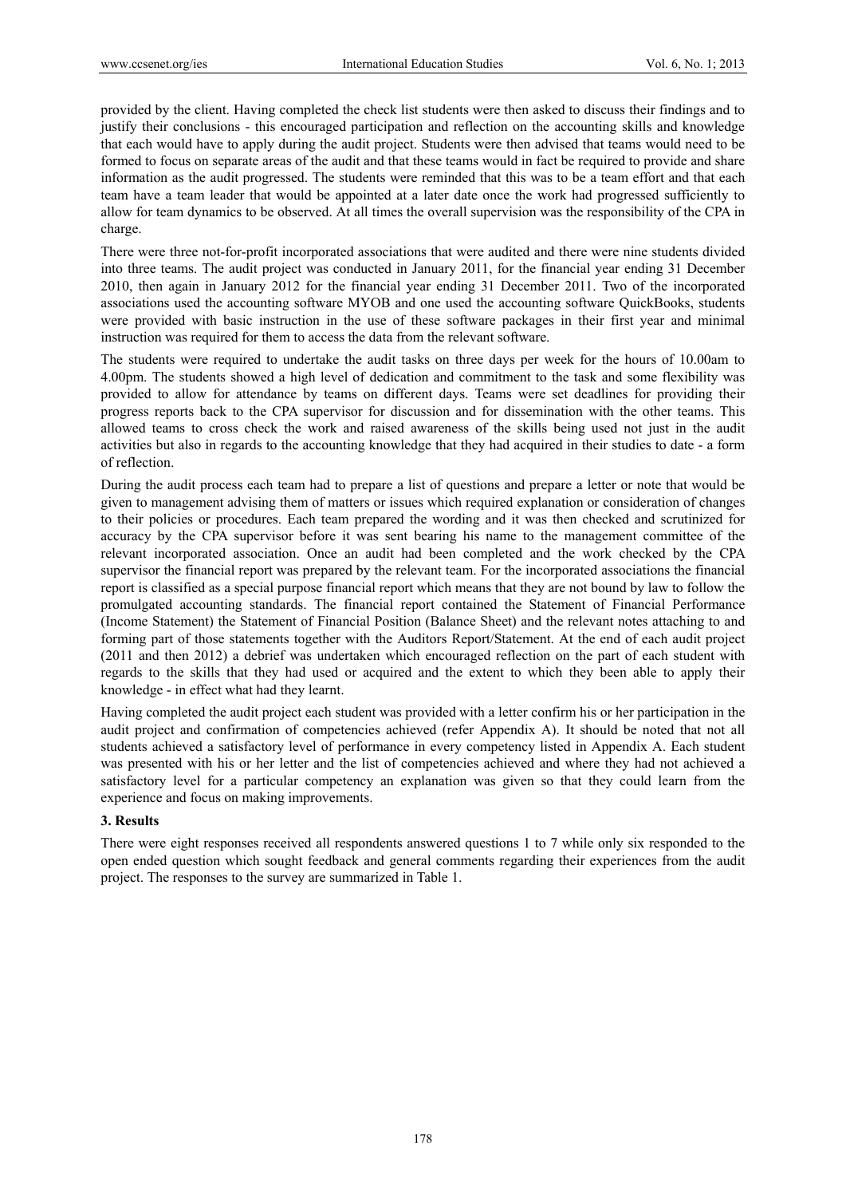provided by the client. Having completed the check list students were then asked to discuss their findings and to justify their conclusions - this encouraged participation and reflection on the accounting skills and knowledge that each would have to apply during the audit project. Students were then advised that teams would need to be formed to focus on separate areas of the audit and that these teams would in fact be required to provide and share information as the audit progressed. The students were reminded that this was to be a team effort and that each team have a team leader that would be appointed at a later date once the work had progressed sufficiently to allow for team dynamics to be observed. At all times the overall supervision was the responsibility of the CPA in charge.

There were three not-for-profit incorporated associations that were audited and there were nine students divided into three teams. The audit project was conducted in January 2011, for the financial year ending 31 December 2010, then again in January 2012 for the financial year ending 31 December 2011. Two of the incorporated associations used the accounting software MYOB and one used the accounting software QuickBooks, students were provided with basic instruction in the use of these software packages in their first year and minimal instruction was required for them to access the data from the relevant software.

The students were required to undertake the audit tasks on three days per week for the hours of 10.00am to 4.00pm. The students showed a high level of dedication and commitment to the task and some flexibility was provided to allow for attendance by teams on different days. Teams were set deadlines for providing their progress reports back to the CPA supervisor for discussion and for dissemination with the other teams. This allowed teams to cross check the work and raised awareness of the skills being used not just in the audit activities but also in regards to the accounting knowledge that they had acquired in their studies to date - a form of reflection.

During the audit process each team had to prepare a list of questions and prepare a letter or note that would be given to management advising them of matters or issues which required explanation or consideration of changes to their policies or procedures. Each team prepared the wording and it was then checked and scrutinized for accuracy by the CPA supervisor before it was sent bearing his name to the management committee of the relevant incorporated association. Once an audit had been completed and the work checked by the CPA supervisor the financial report was prepared by the relevant team. For the incorporated associations the financial report is classified as a special purpose financial report which means that they are not bound by law to follow the promulgated accounting standards. The financial report contained the Statement of Financial Performance (Income Statement) the Statement of Financial Position (Balance Sheet) and the relevant notes attaching to and forming part of those statements together with the Auditors Report/Statement. At the end of each audit project (2011 and then 2012) a debrief was undertaken which encouraged reflection on the part of each student with regards to the skills that they had used or acquired and the extent to which they been able to apply their knowledge - in effect what had they learnt.

Having completed the audit project each student was provided with a letter confirm his or her participation in the audit project and confirmation of competencies achieved (refer Appendix A). It should be noted that not all students achieved a satisfactory level of performance in every competency listed in Appendix A. Each student was presented with his or her letter and the list of competencies achieved and where they had not achieved a satisfactory level for a particular competency an explanation was given so that they could learn from the experience and focus on making improvements.

# **3. Results**

There were eight responses received all respondents answered questions 1 to 7 while only six responded to the open ended question which sought feedback and general comments regarding their experiences from the audit project. The responses to the survey are summarized in Table 1.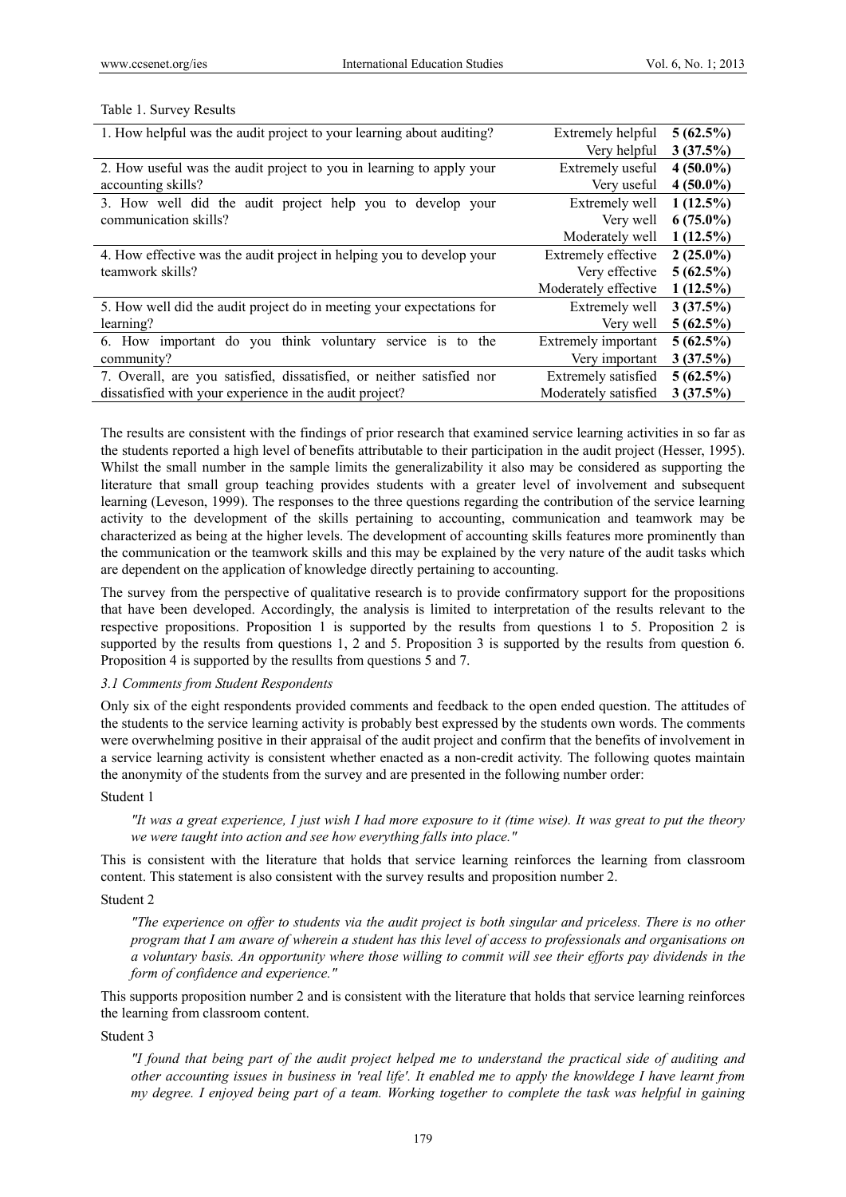Table 1. Survey Results

| 1. How helpful was the audit project to your learning about auditing? | Extremely helpful    | $5(62.5\%)$ |
|-----------------------------------------------------------------------|----------------------|-------------|
|                                                                       | Very helpful         | 3(37.5%)    |
| 2. How useful was the audit project to you in learning to apply your  | Extremely useful     | $4(50.0\%)$ |
| accounting skills?                                                    | Very useful          | $4(50.0\%)$ |
| 3. How well did the audit project help you to develop your            | Extremely well       | $1(12.5\%)$ |
| communication skills?                                                 | Very well            | $6(75.0\%)$ |
|                                                                       | Moderately well      | $1(12.5\%)$ |
| 4. How effective was the audit project in helping you to develop your | Extremely effective  | $2(25.0\%)$ |
| teamwork skills?                                                      | Very effective       | $5(62.5\%)$ |
|                                                                       | Moderately effective | $1(12.5\%)$ |
| 5. How well did the audit project do in meeting your expectations for | Extremely well       | 3(37.5%)    |
| learning?                                                             | Very well            | $5(62.5\%)$ |
| 6. How important do you think voluntary service is to the             | Extremely important  | $5(62.5\%)$ |
| community?                                                            | Very important       | 3(37.5%)    |
| 7. Overall, are you satisfied, dissatisfied, or neither satisfied nor | Extremely satisfied  | $5(62.5\%)$ |
| dissatisfied with your experience in the audit project?               | Moderately satisfied | 3(37.5%)    |

The results are consistent with the findings of prior research that examined service learning activities in so far as the students reported a high level of benefits attributable to their participation in the audit project (Hesser, 1995). Whilst the small number in the sample limits the generalizability it also may be considered as supporting the literature that small group teaching provides students with a greater level of involvement and subsequent learning (Leveson, 1999). The responses to the three questions regarding the contribution of the service learning activity to the development of the skills pertaining to accounting, communication and teamwork may be characterized as being at the higher levels. The development of accounting skills features more prominently than the communication or the teamwork skills and this may be explained by the very nature of the audit tasks which are dependent on the application of knowledge directly pertaining to accounting.

The survey from the perspective of qualitative research is to provide confirmatory support for the propositions that have been developed. Accordingly, the analysis is limited to interpretation of the results relevant to the respective propositions. Proposition 1 is supported by the results from questions 1 to 5. Proposition 2 is supported by the results from questions 1, 2 and 5. Proposition 3 is supported by the results from question 6. Proposition 4 is supported by the resullts from questions 5 and 7.

#### *3.1 Comments from Student Respondents*

Only six of the eight respondents provided comments and feedback to the open ended question. The attitudes of the students to the service learning activity is probably best expressed by the students own words. The comments were overwhelming positive in their appraisal of the audit project and confirm that the benefits of involvement in a service learning activity is consistent whether enacted as a non-credit activity. The following quotes maintain the anonymity of the students from the survey and are presented in the following number order:

#### Student 1

*"It was a great experience, I just wish I had more exposure to it (time wise). It was great to put the theory we were taught into action and see how everything falls into place."* 

This is consistent with the literature that holds that service learning reinforces the learning from classroom content. This statement is also consistent with the survey results and proposition number 2.

# Student 2

*"The experience on offer to students via the audit project is both singular and priceless. There is no other program that I am aware of wherein a student has this level of access to professionals and organisations on a voluntary basis. An opportunity where those willing to commit will see their efforts pay dividends in the form of confidence and experience."* 

This supports proposition number 2 and is consistent with the literature that holds that service learning reinforces the learning from classroom content.

### Student 3

*"I found that being part of the audit project helped me to understand the practical side of auditing and other accounting issues in business in 'real life'. It enabled me to apply the knowldege I have learnt from my degree. I enjoyed being part of a team. Working together to complete the task was helpful in gaining*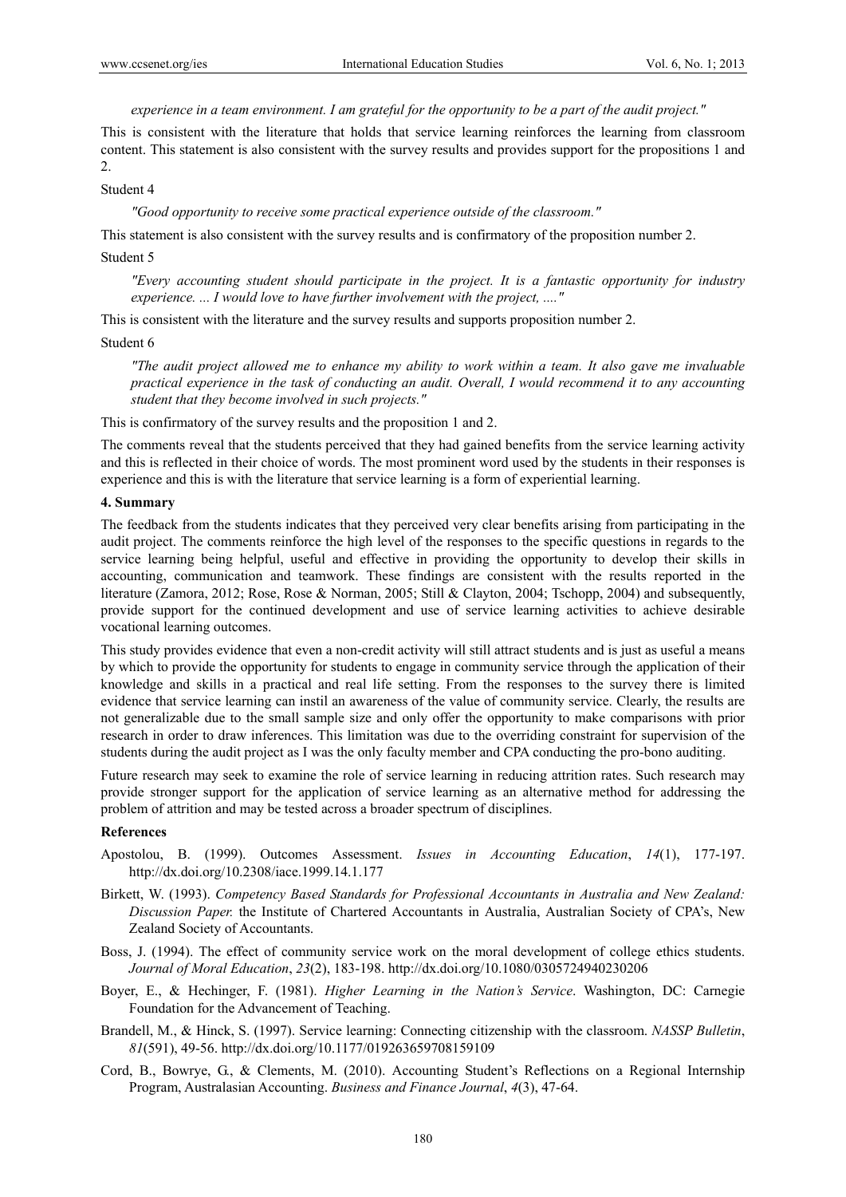*experience in a team environment. I am grateful for the opportunity to be a part of the audit project."* 

This is consistent with the literature that holds that service learning reinforces the learning from classroom content. This statement is also consistent with the survey results and provides support for the propositions 1 and 2.

## Student 4

*"Good opportunity to receive some practical experience outside of the classroom."* 

This statement is also consistent with the survey results and is confirmatory of the proposition number 2.

#### Student 5

*"Every accounting student should participate in the project. It is a fantastic opportunity for industry experience. ... I would love to have further involvement with the project, ...."* 

This is consistent with the literature and the survey results and supports proposition number 2.

#### Student 6

*"The audit project allowed me to enhance my ability to work within a team. It also gave me invaluable practical experience in the task of conducting an audit. Overall, I would recommend it to any accounting student that they become involved in such projects."* 

This is confirmatory of the survey results and the proposition 1 and 2.

The comments reveal that the students perceived that they had gained benefits from the service learning activity and this is reflected in their choice of words. The most prominent word used by the students in their responses is experience and this is with the literature that service learning is a form of experiential learning.

#### **4. Summary**

The feedback from the students indicates that they perceived very clear benefits arising from participating in the audit project. The comments reinforce the high level of the responses to the specific questions in regards to the service learning being helpful, useful and effective in providing the opportunity to develop their skills in accounting, communication and teamwork. These findings are consistent with the results reported in the literature (Zamora, 2012; Rose, Rose & Norman, 2005; Still & Clayton, 2004; Tschopp, 2004) and subsequently, provide support for the continued development and use of service learning activities to achieve desirable vocational learning outcomes.

This study provides evidence that even a non-credit activity will still attract students and is just as useful a means by which to provide the opportunity for students to engage in community service through the application of their knowledge and skills in a practical and real life setting. From the responses to the survey there is limited evidence that service learning can instil an awareness of the value of community service. Clearly, the results are not generalizable due to the small sample size and only offer the opportunity to make comparisons with prior research in order to draw inferences. This limitation was due to the overriding constraint for supervision of the students during the audit project as I was the only faculty member and CPA conducting the pro-bono auditing.

Future research may seek to examine the role of service learning in reducing attrition rates. Such research may provide stronger support for the application of service learning as an alternative method for addressing the problem of attrition and may be tested across a broader spectrum of disciplines.

#### **References**

- Apostolou, B. (1999). Outcomes Assessment. *Issues in Accounting Education*, *14*(1), 177-197. http://dx.doi.org/10.2308/iace.1999.14.1.177
- Birkett, W. (1993). *Competency Based Standards for Professional Accountants in Australia and New Zealand: Discussion Paper.* the Institute of Chartered Accountants in Australia, Australian Society of CPA's, New Zealand Society of Accountants.
- Boss, J. (1994). The effect of community service work on the moral development of college ethics students. *Journal of Moral Education*, *23*(2), 183-198. http://dx.doi.org/10.1080/0305724940230206
- Boyer, E., & Hechinger, F. (1981). *Higher Learning in the Nation's Service*. Washington, DC: Carnegie Foundation for the Advancement of Teaching.
- Brandell, M., & Hinck, S. (1997). Service learning: Connecting citizenship with the classroom. *NASSP Bulletin*, *81*(591), 49-56. http://dx.doi.org/10.1177/019263659708159109
- Cord, B., Bowrye, G., & Clements, M. (2010). Accounting Student's Reflections on a Regional Internship Program, Australasian Accounting. *Business and Finance Journal*, *4*(3), 47-64.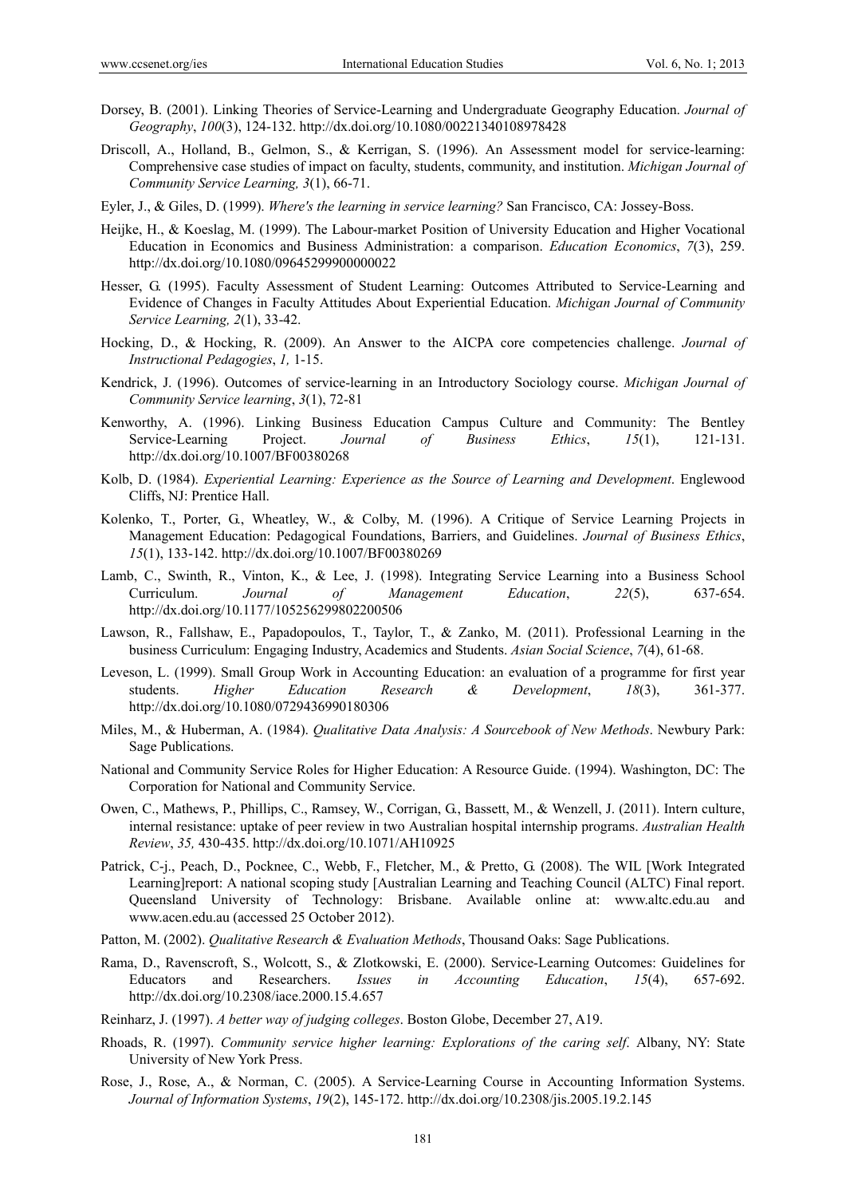- Dorsey, B. (2001). Linking Theories of Service-Learning and Undergraduate Geography Education. *Journal of Geography*, *100*(3), 124-132. http://dx.doi.org/10.1080/00221340108978428
- Driscoll, A., Holland, B., Gelmon, S., & Kerrigan, S. (1996). An Assessment model for service-learning: Comprehensive case studies of impact on faculty, students, community, and institution. *Michigan Journal of Community Service Learning, 3*(1), 66-71.

Eyler, J., & Giles, D. (1999). *Where's the learning in service learning?* San Francisco, CA: Jossey-Boss.

- Heijke, H., & Koeslag, M. (1999). The Labour-market Position of University Education and Higher Vocational Education in Economics and Business Administration: a comparison. *Education Economics*, *7*(3), 259. http://dx.doi.org/10.1080/09645299900000022
- Hesser, G. (1995). Faculty Assessment of Student Learning: Outcomes Attributed to Service-Learning and Evidence of Changes in Faculty Attitudes About Experiential Education. *Michigan Journal of Community Service Learning, 2*(1), 33-42.
- Hocking, D., & Hocking, R. (2009). An Answer to the AICPA core competencies challenge. *Journal of Instructional Pedagogies*, *1,* 1-15.
- Kendrick, J. (1996). Outcomes of service-learning in an Introductory Sociology course. *Michigan Journal of Community Service learning*, *3*(1), 72-81
- Kenworthy, A. (1996). Linking Business Education Campus Culture and Community: The Bentley Service-Learning Project. *Journal of Business Ethics*, *15*(1), 121-131. http://dx.doi.org/10.1007/BF00380268
- Kolb, D. (1984). *Experiential Learning: Experience as the Source of Learning and Development*. Englewood Cliffs, NJ: Prentice Hall.
- Kolenko, T., Porter, G., Wheatley, W., & Colby, M. (1996). A Critique of Service Learning Projects in Management Education: Pedagogical Foundations, Barriers, and Guidelines. *Journal of Business Ethics*, *15*(1), 133-142. http://dx.doi.org/10.1007/BF00380269
- Lamb, C., Swinth, R., Vinton, K., & Lee, J. (1998). Integrating Service Learning into a Business School Curriculum. *Journal of Management Education*, *22*(5), 637-654. http://dx.doi.org/10.1177/105256299802200506
- Lawson, R., Fallshaw, E., Papadopoulos, T., Taylor, T., & Zanko, M. (2011). Professional Learning in the business Curriculum: Engaging Industry, Academics and Students. *Asian Social Science*, *7*(4), 61-68.
- Leveson, L. (1999). Small Group Work in Accounting Education: an evaluation of a programme for first year students. *Higher Education Research & Development*, *18*(3), 361-377. http://dx.doi.org/10.1080/0729436990180306
- Miles, M., & Huberman, A. (1984). *Qualitative Data Analysis: A Sourcebook of New Methods*. Newbury Park: Sage Publications.
- National and Community Service Roles for Higher Education: A Resource Guide. (1994). Washington, DC: The Corporation for National and Community Service.
- Owen, C., Mathews, P., Phillips, C., Ramsey, W., Corrigan, G., Bassett, M., & Wenzell, J. (2011). Intern culture, internal resistance: uptake of peer review in two Australian hospital internship programs. *Australian Health Review*, *35,* 430-435. http://dx.doi.org/10.1071/AH10925
- Patrick, C-j., Peach, D., Pocknee, C., Webb, F., Fletcher, M., & Pretto, G. (2008). The WIL [Work Integrated Learning]report: A national scoping study [Australian Learning and Teaching Council (ALTC) Final report. Queensland University of Technology: Brisbane. Available online at: www.altc.edu.au and www.acen.edu.au (accessed 25 October 2012).
- Patton, M. (2002). *Qualitative Research & Evaluation Methods*, Thousand Oaks: Sage Publications.
- Rama, D., Ravenscroft, S., Wolcott, S., & Zlotkowski, E. (2000). Service-Learning Outcomes: Guidelines for Educators and Researchers. *Issues in Accounting Education*, *15*(4), 657-692. http://dx.doi.org/10.2308/iace.2000.15.4.657
- Reinharz, J. (1997). *A better way of judging colleges*. Boston Globe, December 27, A19.
- Rhoads, R. (1997). *Community service higher learning: Explorations of the caring self*. Albany, NY: State University of New York Press.
- Rose, J., Rose, A., & Norman, C. (2005). A Service-Learning Course in Accounting Information Systems. *Journal of Information Systems*, *19*(2), 145-172. http://dx.doi.org/10.2308/jis.2005.19.2.145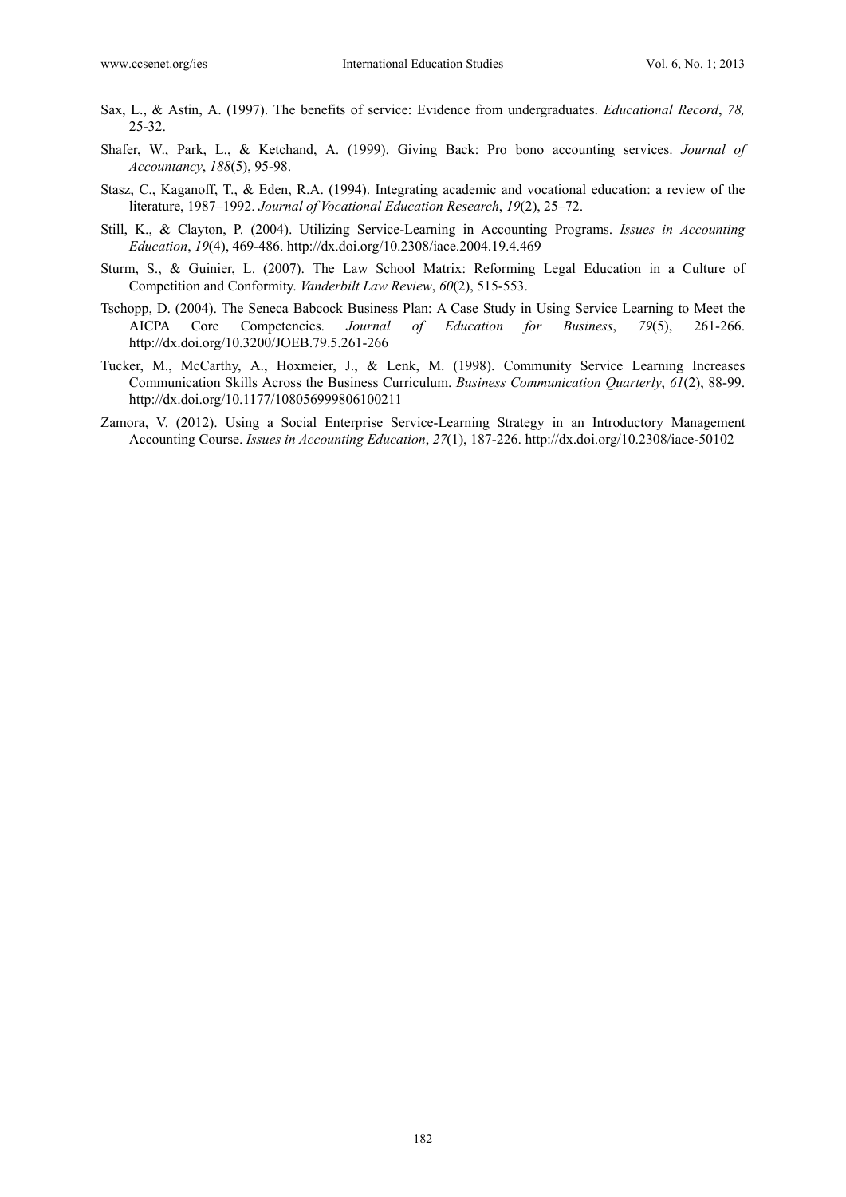- Sax, L., & Astin, A. (1997). The benefits of service: Evidence from undergraduates. *Educational Record*, *78,* 25-32.
- Shafer, W., Park, L., & Ketchand, A. (1999). Giving Back: Pro bono accounting services. *Journal of Accountancy*, *188*(5), 95-98.
- Stasz, C., Kaganoff, T., & Eden, R.A. (1994). Integrating academic and vocational education: a review of the literature, 1987–1992. *Journal of Vocational Education Research*, *19*(2), 25–72.
- Still, K., & Clayton, P. (2004). Utilizing Service-Learning in Accounting Programs. *Issues in Accounting Education*, *19*(4), 469-486. http://dx.doi.org/10.2308/iace.2004.19.4.469
- Sturm, S., & Guinier, L. (2007). The Law School Matrix: Reforming Legal Education in a Culture of Competition and Conformity. *Vanderbilt Law Review*, *60*(2), 515-553.
- Tschopp, D. (2004). The Seneca Babcock Business Plan: A Case Study in Using Service Learning to Meet the AICPA Core Competencies. *Journal of Education for Business*, *79*(5), 261-266. http://dx.doi.org/10.3200/JOEB.79.5.261-266
- Tucker, M., McCarthy, A., Hoxmeier, J., & Lenk, M. (1998). Community Service Learning Increases Communication Skills Across the Business Curriculum. *Business Communication Quarterly*, *61*(2), 88-99. http://dx.doi.org/10.1177/108056999806100211
- Zamora, V. (2012). Using a Social Enterprise Service-Learning Strategy in an Introductory Management Accounting Course. *Issues in Accounting Education*, *27*(1), 187-226. http://dx.doi.org/10.2308/iace-50102